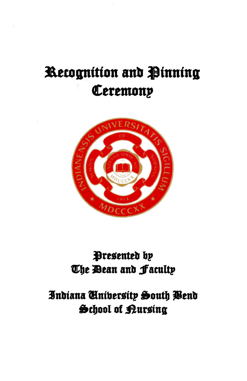# Recognition and Pinning Ceremony



## Presented by The Dean and Faculty

## Indiana University South Wend School of Kursing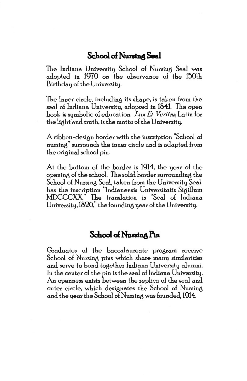### School of Nursing Seal

The Indiana University School of Nursing Seal was adopted in 1970 on the observance of the 150th Birthday of the University.

The Inner circle, including its shape, is taken from the seal of Indiana University, adopted in 1841. The open book is symbolic o£ education. *Lux Et Veritas,* Latin £or the light and truth, is the motto of the University.

A ribbon-design border with the inscription "School of nursing" surrounds the inner circle and is adapted from the original school pin.

At the bottom of the border is 1914, the year of the openin8 o£ the school. The solid border surroundin8 the School of Nursing Seal, taken from the University Seal, has the inscription "lndianensis Universitatis Siaillum MDCCCXX" The translation is "Seal of Indiana University,  $1820$ ," the founding year of the University.

#### School of Nursing Pin

Graduates of the baccalaureate program receive School of Nursing pins which share many similarities and serve to bond toaether Indiana University alumni. In the center of the pin is the seal of Indiana University. An openness exists between the replica of the seal and outer circle, which designates the School of Nursing and the year the School of Nursing was founded, 1914.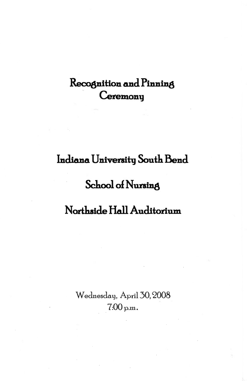## Recognition and Pinning Ceremony

## Indiana University South Bend

## School of Nursing

## Northside Hall Auditorium

Wednesday, April 30, 2008  $7:00$  p.m.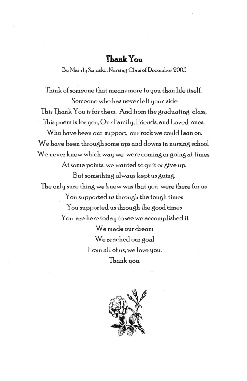#### **Thank You**

By Mandy Szynski , Nursin8 Class of December '2003

Think of someone that means more to you than life itself. Someone who has never left your side This Thank You is for them. And from the graduating class, This poem is for you, Our Family, Friends, and Loved ones. Who have been our support, our rock we could lean on. We have been through some ups and downs in nursing school We never knew which way we were coming or going at times. At some points, we wanted to quit or  $g$ ive up. But something always kept us going. The only sure thing we knew was that you were there for us You supported us through the tough times You supported us through the good times You are here today to see we accomplished it We made our dream We reached our goal From all of us, we love you.

Thank you.

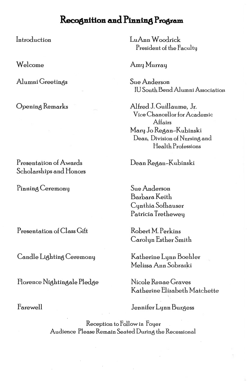### Recognition and Pinning Program

Introduction

Welcome

Alumni Greetings

Opening Remarks

Presentation of Awards Scholarships and Honors

Pinning Ceremony

Presentation of Class Gift

Candle Lighting Ceremony

Florence Nightingale Pledge

Farewell

LuAnn Woodrick President of the Faculty

Amy Murray

Sue Anderson IU South Bend Alumni Association

Alfred J. Guillaume, Jr. Vice Chancellor for Academic Affairs Mary Jo Regan-Kubinski Dean, Division of Nursing and Health Professions

Dean Regan-Kubinski

Sue Anderson Barbara Keith Cynthia Sofhauser Patricia Trethewey

Robert M. Perkins Carolyn Esther Smith

Katherine Lynn Boehler Melissa Ann Sobraski

Nicole Renae Graves Katherine Elizabeth Matchette

Jennifer Lynn Burgess

Reception to Follow in Foyer Audience Please Remain Seated During the Recessional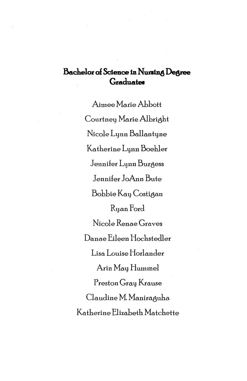## **Bachelor ol Science in** Nu.ra~ng **Degree**  Graduates

Aimee Marie Abbott Courtney Marie Albright Nicole Lynn Ballantyne Katherine Lynn Boehler Jennifer Lynn Burgess Jenni£er JoAnn Bute Bobbie Kay Costiaan Ryan Ford Nicole Renae Graves Danae Eileen Hochstedler Lisa Louise Horlander Arin May Hummel Preston Gray Krause Claudine M. Maniraguha Katherine Elizabeth Matchette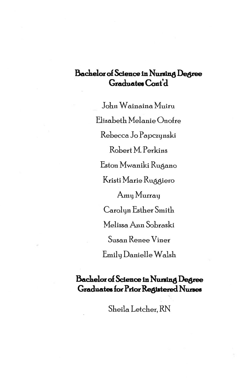### $\beta$ **Bachelor of Science in Nursing Degree** Graduates Cont'd

John Wainaina Muiru Elizabeth Melanie Onofre Rebecca Jo Papczynski Robert M. Perkins Eston Mwaniki Rugano Kristi Marie Ruggiero Amy Murray Carolyn Esther Smith Melissa Ann Sobraski Susan Renee Viner Emily Danielle Walsh

### **&chelor of Science in** NUD~ng **Degree Graduates for Prior Registered Nurses**

Sheila Letcher, RN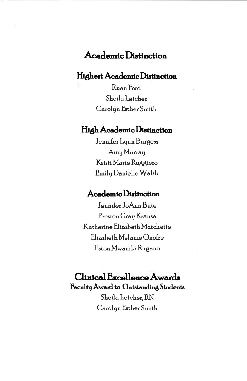## **Academic Distinction**

#### Highest Academic Distinction

Ruan Ford Sheila Letcher Carolyn Esther Smith

#### **High Academic Distinction**

Jennifer Lynn Burgess Amy Murray Kristi Marie Ruggiero Emily Danielle Walsh

#### Academic Distinction

Jennifer JoAnn Bute Preston Gray Krause Katherine Elizabeth Matchette Elizabeth Melanie Onofre Eston Mwaniki Rugano

### Clinical Excellence Awards Faculty Award to Outstanding Students

Sheila Letcher, RN Carolyn Esther Smith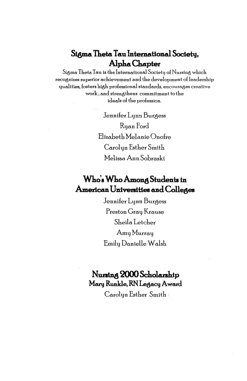## **Sigma Theta Tau International Sociehj, Alpha Chapter**

Sigma Theta Tau is the International Society of Nursing which recognizes superior achievement and the development of leadership qualities, fosters high professional standards, encourages creative work' and strenathens commitment to the ideals of the profession.

> Jennifer Lynn Burgess Ryan Ford Elizabeth Melanie Onofre Carolyn Esther Smith Melissa Ann Sobraski

## **Who's Who Among Students in American Univenitiee and Colleges**

Jennifer Lynn Burgess Preston Gray Krause Sheila Letcher Amy Murray Emily Danielle Walsh

### Nu:n~ng **2000 Scholanhip MarlJ Runkle, RN LeaaCIJ Award**

Carolyn Esther Smith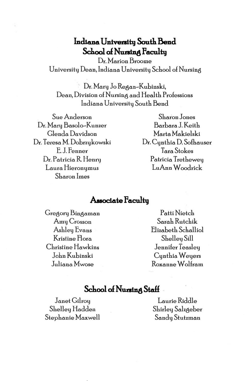### Indiana University South Bend School of Nursing Facultu

Dr. Marion Broome University Dean, Indiana University School of Nursing

Dr. Mary Jo Regan-Kubinski, Dean, Division of Nursing and Health Professions Indiana University South Bend

Sue Anderson Dr. Mary Basolo-Kunzer Glenda Davidson Dr. Teresa M. Dobrzykowski E.J. Fenner Dr. Patricia R. Henry Laura Hieronymus Sharon Imes

Sharon Jones Barbara J. Keith Marta Makielski Dr. Cynthia D. Sofhauser Tara Stokes Patricia Tretheweu LuAnn Woodrick

#### Associate Faculty

Gregory Bingaman Amy Crosson Ashley Evans Kristine Flora Christine Hawkins John Kubinski Juliana Mwose

Patti Nietch Sarah Rutchik Elizabeth Schalliol Shelley Sill Jennifer Teasley Cynthia Weyers Roxanne Wolfram

#### School of Nursing Staff

Janet Gilroy Shelley Hadden Stephanie Maxwell

Laurie Riddle Shirley Salzgeber Sandy Stutzman